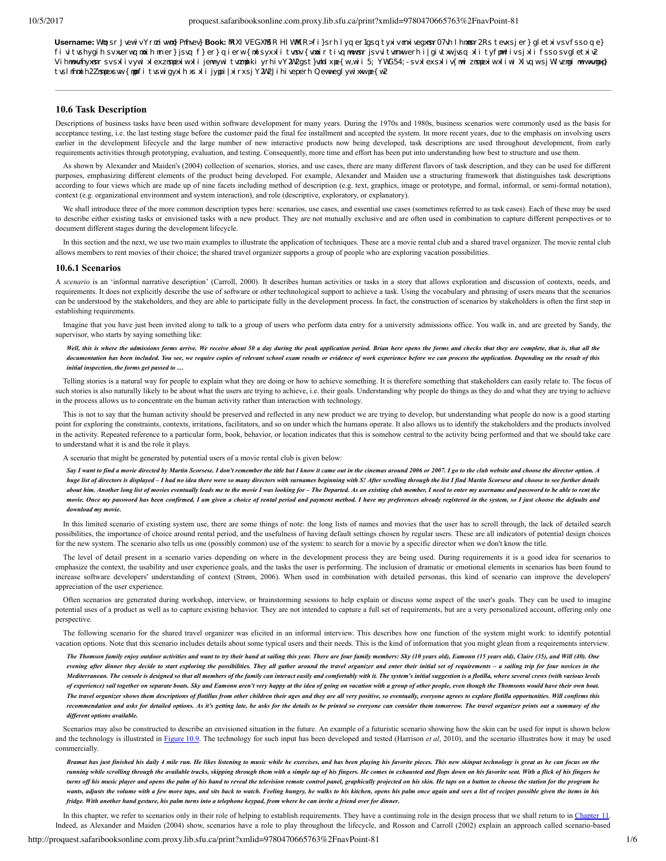**Username:** Simon Fraser University Library **Book:** INTERACTION DESIGN: beyond human-computer interaction, 3rd Edition. No part of any chapter or book may be reproduced or transmitted in any form by any means without the prior written permission for reprints and excerpts from the publisher of the book or chapter. Redistribution or other use that violates the fair use privilege under U.S. copyright laws (see 17 USC107) or that otherwise violates these Terms of Service is strictly prohibited. Violators will be prosecuted to the full extent of U.S. Federal and Massachusetts laws.

## **10.6 Task Description**

Descriptions of business tasks have been used within software development for many years. During the 1970s and 1980s, business scenarios were commonly used as the basis for acceptance testing, i.e. the last testing stage before the customer paid the final fee installment and accepted the system. In more recent years, due to the emphasis on involving users earlier in the development lifecycle and the large number of new interactive products now being developed, task descriptions are used throughout development, from early requirements activities through prototyping, evaluation, and testing. Consequently, more time and effort has been put into understanding how best to structure and use them.

As shown by Alexander and Maiden's (2004) collection of scenarios, stories, and use cases, there are many different flavors of task description, and they can be used for different purposes, emphasizing different elements of the product being developed. For example, Alexander and Maiden use a structuring framework that distinguishes task descriptions according to four views which are made up of nine facets including method of description (e.g. text, graphics, image or prototype, and formal, informal, or semi-formal notation), context (e.g. organizational environment and system interaction), and role (descriptive, exploratory, or explanatory).

We shall introduce three of the more common description types here: scenarios, use cases, and essential use cases (sometimes referred to as task cases). Each of these may be used to describe either existing tasks or envisioned tasks with a new product. They are not mutually exclusive and are often used in combination to capture different perspectives or to document different stages during the development lifecycle.

In this section and the next, we use two main examples to illustrate the application of techniques. These are a movie rental club and a shared travel organizer. The movie rental club allows members to rent movies of their choice; the shared travel organizer supports a group of people who are exploring vacation possibilities.

#### **10.6.1 Scenarios**

A *scenario* is an 'informal narrative description' (Carroll, 2000). It describes human activities or tasks in a story that allows exploration and discussion of contexts, needs, and requirements. It does not explicitly describe the use of software or other technological support to achieve a task. Using the vocabulary and phrasing of users means that the scenarios can be understood by the stakeholders, and they are able to participate fully in the development process. In fact, the construction of scenarios by stakeholders is often the first step in establishing requirements.

Imagine that you have just been invited along to talk to a group of users who perform data entry for a university admissions office. You walk in, and are greeted by Sandy, the supervisor, who starts by saying something like:

## Well, this is where the admissions forms arrive. We receive about 50 a day during the peak application period. Brian here opens the forms and checks that they are complete, that is, that all the documentation has been included. You see, we require copies of relevant school exam results or evidence of work experience before we can process the application. Depending on the result of this *initial inspection, the forms get passed to …*

Telling stories is a natural way for people to explain what they are doing or how to achieve something. It is therefore something that stakeholders can easily relate to. The focus of such stories is also naturally likely to be about what the users are trying to achieve, i.e. their goals. Understanding why people do things as they do and what they are trying to achieve in the process allows us to concentrate on the human activity rather than interaction with technology.

This is not to say that the human activity should be preserved and reflected in any new product we are trying to develop, but understanding what people do now is a good starting point for exploring the constraints, contexts, irritations, facilitators, and so on under which the humans operate. It also allows us to identify the stakeholders and the products involved in the activity. Repeated reference to a particular form, book, behavior, or location indicates that this is somehow central to the activity being performed and that we should take care to understand what it is and the role it plays.

A scenario that might be generated by potential users of a movie rental club is given below:

Say I want to find a movie directed by Martin Scorsese. I don't remember the title but I know it came out in the cinemas around 2006 or 2007. I go to the club website and choose the director option. A huge list of directors is displayed - I had no idea there were so many directors with surnames beginning with S! After scrolling through the list I find Martin Scorsese and choose to see further details about him. Another long list of movies eventually leads me to the movie I was looking for - The Departed. As an existing club member, I need to enter my username and password to be able to rent the movie. Once my password has been confirmed. I am given a choice of rental period and payment method. I have my preferences already registered in the system, so I just choose the defaults and *download my movie***.**

In this limited scenario of existing system use, there are some things of note: the long lists of names and movies that the user has to scroll through, the lack of detailed search possibilities, the importance of choice around rental period, and the usefulness of having default settings chosen by regular users. These are all indicators of potential design choices for the new system. The scenario also tells us one (possibly common) use of the system: to search for a movie by a specific director when we don't know the title.

The level of detail present in a scenario varies depending on where in the development process they are being used. During requirements it is a good idea for scenarios to emphasize the context, the usability and user experience goals, and the tasks the user is performing. The inclusion of dramatic or emotional elements in scenarios has been found to increase software developers' understanding of context (Strøm, 2006). When used in combination with detailed personas, this kind of scenario can improve the developers' appreciation of the user experience.

Often scenarios are generated during workshop, interview, or brainstorming sessions to help explain or discuss some aspect of the user's goals. They can be used to imagine potential uses of a product as well as to capture existing behavior. They are not intended to capture a full set of requirements, but are a very personalized account, offering only one perspective.

The following scenario for the shared travel organizer was elicited in an informal interview. This describes how one function of the system might work: to identify potential vacation options. Note that this scenario includes details about some typical users and their needs. This is the kind of information that you might glean from a requirements interview.

The Thomson family enjoy outdoor activities and want to try their hand at sailing this year. There are four family members: Sky (10 years old), Eamonn (15 years old), Claire (35), and Will (40). One evening after dinner they decide to start exploring the possibilities. They all gather around the travel organizer and enter their initial set of requirements - a sailing trip for four novices in the Mediterranean. The console is designed so that all members of the family can interact easily and comfortably with it. The system's initial suggestion is a flotilla, where several crews (with various levels of experience) sail together on separate boats. Sky and Eamonn aren't very happy at the idea of going on vacation with a group of other people, even though the Thomsons would have their own boat. The travel organizer shows them descriptions of flotillas from other children their ages and they are all very positive, so eventually, everyone agrees to explore flotilla opportunities. Will confirms this recommendation and asks for detailed options. As it's getting late, he asks for the details to be printed so everyone can consider them tomorrow. The travel organizer prints out a summary of the *dif erent options available.*

Scenarios may also be constructed to describe an envisioned situation in the future. An example of a futuristic scenario showing how the skin can be used for input is shown below and the technology is illustrated in [Figure](http://proquest.safaribooksonline.com.proxy.lib.sfu.ca/9780470665763/navPoint-81#ch010-f009) 10.9. The technology for such input has been developed and tested (Harrison *et al*, 2010), and the scenario illustrates how it may be used commercially.

Bramat has just finished his daily 4 mile run. He likes listening to music while he exercises, and has been playing his favorite pieces. This new skinput technology is great as he can focus on the running while scrolling through the available tracks, skipping through them with a simple tap of his fingers. He comes in exhausted and flops down on his favorite seat. With a flick of his fingers he turns off his music player and opens the palm of his hand to reveal the television remote control panel, graphically projected on his skin. He taps on a button to choose the station for the program he wants, adjusts the volume with a few more taps, and sits back to watch. Feeling hungry, he walks to his kitchen, opens his palm once again and sees a list of recipes possible given the items in his fridge. With another hand gesture, his palm turns into a telephone keypad, from where he can invite a friend over for dinner.

In this chapter, we refer to scenarios only in their role of helping to establish requirements. They have a continuing role in the design process that we shall return to in [Chapter](http://proquest.safaribooksonline.com.proxy.lib.sfu.ca/9780470665763/chapter_11_design_prototyping#ch11) 11. Indeed, as Alexander and Maiden (2004) show, scenarios have a role to play throughout the lifecycle, and Rosson and Carroll (2002) explain an approach called scenariobased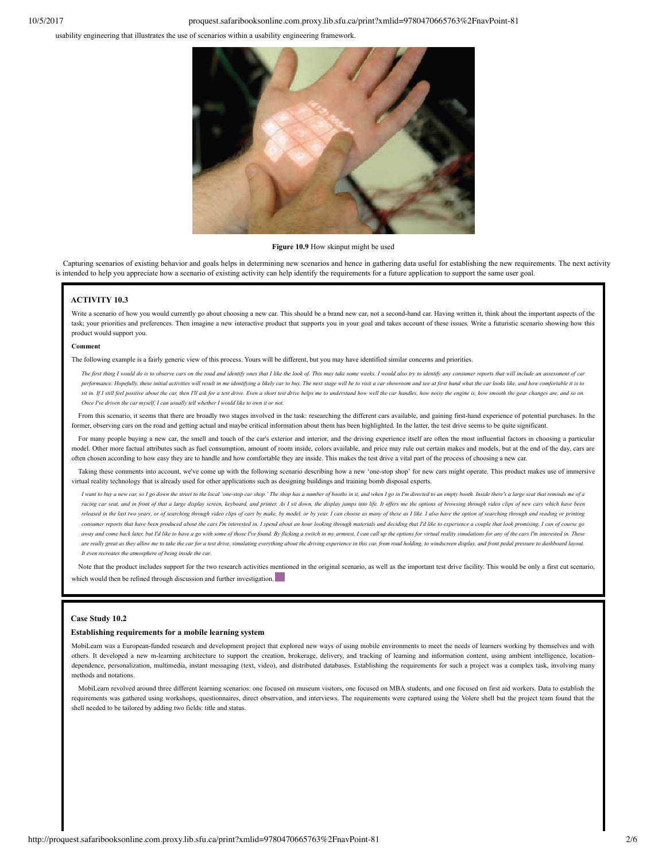usability engineering that illustrates the use of scenarios within a usability engineering framework.



**Figure 10.9** How skinput might be used

Capturing scenarios of existing behavior and goals helps in determining new scenarios and hence in gathering data useful for establishing the new requirements. The next activity is intended to help you appreciate how a scenario of existing activity can help identify the requirements for a future application to support the same user goal.

## **ACTIVITY 10.3**

Write a scenario of how you would currently go about choosing a new car. This should be a brand new car, not a second-hand car. Having written it, think about the important aspects of the task; your priorities and preferences. Then imagine a new interactive product that supports you in your goal and takes account of these issues. Write a futuristic scenario showing how this product would support you.

#### **Comment**

The following example is a fairly generic view of this process. Yours will be different, but you may have identified similar concerns and priorities.

The first thing I would do is to observe cars on the road and identify ones that I like the look of. This may take some weeks. I would also try to identify any consumer reports that will include an assessment of car performance. Hopefully, these initial activities will result in me identifying a likely car to buy. The next stage will be to visit a car showroom and see at first hand what the car looks like, and how comfortable it is to sit in. If I still feel positive about the car, then I'll ask for a test drive. Even a short test drive helps me to understand how well the car handles, how noisy the engine is, how smooth the gear changes are, and so on. *Once I've driven the car myself, I can usually tell whether I would like to own it or not*.

From this scenario, it seems that there are broadly two stages involved in the task: researching the different cars available, and gaining first-hand experience of potential purchases. In the former, observing cars on the road and getting actual and maybe critical information about them has been highlighted. In the latter, the test drive seems to be quite significant.

For many people buying a new car, the smell and touch of the car's exterior and interior, and the driving experience itself are often the most influential factors in choosing a particular model. Other more factual attributes such as fuel consumption, amount of room inside, colors available, and price may rule out certain makes and models, but at the end of the day, cars are often chosen according to how easy they are to handle and how comfortable they are inside. This makes the test drive a vital part of the process of choosing a new car.

Taking these comments into account, we've come up with the following scenario describing how a new 'onestop shop' for new cars might operate. This product makes use of immersive virtual reality technology that is already used for other applications such as designing buildings and training bomb disposal experts.

I want to buy a new car, so I go down the street to the local 'one-stop car shop.' The shop has a number of booths in it, and when I go in I'm directed to an empty booth. Inside there's a large seat that reminds me of a racing car seat, and in front of that a large display screen, keyboard, and printer. As I sit down, the display jumps into life. It offers me the options of browsing through video clips of new cars which have been released in the last two years, or of searching through video clips of cars by make, by model, or by year. I can choose as many of these as I like. I also have the option of searching through and reading or printing consumer reports that have been produced about the cars I'm interested in. I spend about an hour looking through materials and deciding that I'd like to experience a couple that look promising. I can of course go away and come back later, but I'd like to have a go with some of those I've found. By flicking a switch in my armrest, I can call up the options for virtual reality simulations for any of the cars I'm interested in. These are really great as they allow me to take the car for a test drive, simulating everything about the driving experience in this car, from road holding, to windscreen display, and front pedal pressure to dashboard layout. *It even recreates the atmosphere of being inside the car*.

Note that the product includes support for the two research activities mentioned in the original scenario, as well as the important test drive facility. This would be only a first cut scenario, which would then be refined through discussion and further investigation.

#### **Case Study 10.2**

## **Establishing requirements for a mobile learning system**

MobiLearn was a Europeanfunded research and development project that explored new ways of using mobile environments to meet the needs of learners working by themselves and with others. It developed a new m-learning architecture to support the creation, brokerage, delivery, and tracking of learning and information content, using ambient intelligence, locationdependence, personalization, multimedia, instant messaging (text, video), and distributed databases. Establishing the requirements for such a project was a complex task, involving many methods and notations.

MobiLearn revolved around three different learning scenarios: one focused on museum visitors, one focused on MBA students, and one focused on first aid workers. Data to establish the requirements was gathered using workshops, questionnaires, direct observation, and interviews. The requirements were captured using the Volere shell but the project team found that the shell needed to be tailored by adding two fields: title and status.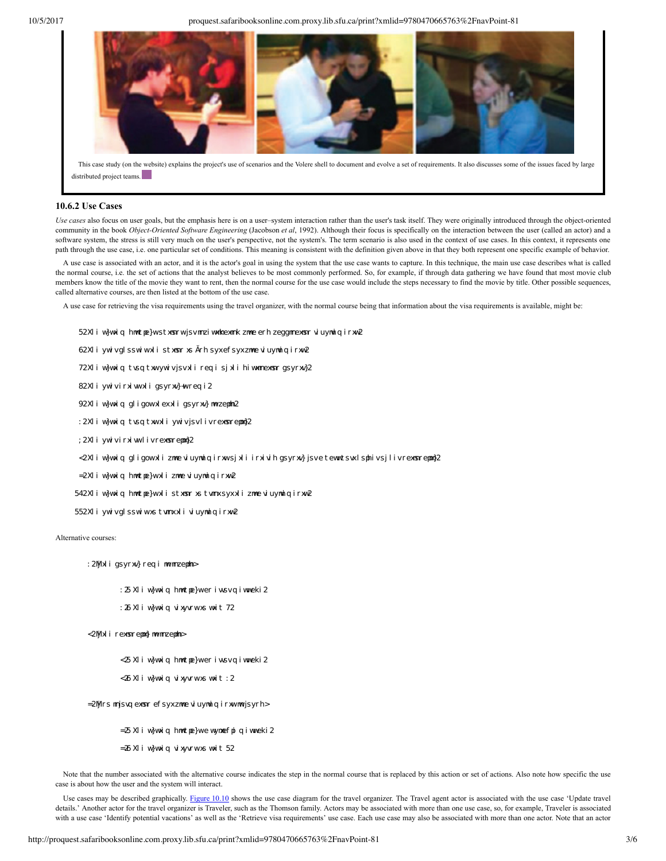

This case study (on the website) explains the project's use of scenarios and the Volere shell to document and evolve a set of requirements. It also discusses some of the issues faced by large distributed project teams.

# **10.6.2 Use Cases**

Use cases also focus on user goals, but the emphasis here is on a user-system interaction rather than the user's task itself. They were originally introduced through the object-oriented community in the book *Object-Oriented Software Engineering* (Jacobson *et al*, 1992). Although their focus is specifically on the interaction between the user (called an actor) and a software system, the stress is still very much on the user's perspective, not the system's. The term scenario is also used in the context of use cases. In this context, it represents one path through the use case, i.e. one particular set of conditions. This meaning is consistent with the definition given above in that they both represent one specific example of behavior.

A use case is associated with an actor, and it is the actor's goal in using the system that the use case wants to capture. In this technique, the main use case describes what is called the normal course, i.e. the set of actions that the analyst believes to be most commonly performed. So, for example, if through data gathering we have found that most movie club members know the title of the movie they want to rent, then the normal course for the use case would include the steps necessary to find the movie by title. Other possible sequences, called alternative courses, are then listed at the bottom of the use case.

A use case for retrieving the visa requirements using the travel organizer, with the normal course being that information about the visa requirements is available, might be:

- 1. The system displays options for investigating visa and vaccination requirements.
- 2. The user chooses the option to find out about visa requirements.
- 3. The system prompts user for the name of the destination country.
- 4. The user enters the country's name.
- 5. The system checks that the country is valid.
- 6. The system prompts the user for her nationality.
- 7. The user enters her nationality.
- 8. The system checks the visa requirements of the entered country for a passport holder of her nationality.
- 9. The system displays the visa requirements.
- 10. The system displays the option to print out the visa requirements.
- 11. The user chooses to print the requirements.

## Alternative courses:

- 6. If the country name is invalid:
	- 6.1 The system displays an error message.
	- 6.2 The system returns to step 3.
- 8. If the nationality is invalid:
	- 8.1 The system displays an error message.
	- 8.2 The system returns to step 6.
- 9. If no information about visa requirements is found:
	- 9.1 The system displays a suitable message.
	- 9.2 The system returns to step 1.

Note that the number associated with the alternative course indicates the step in the normal course that is replaced by this action or set of actions. Also note how specific the use case is about how the user and the system will interact.

Use cases may be described graphically. [Figure](http://proquest.safaribooksonline.com.proxy.lib.sfu.ca/9780470665763/navPoint-81#ch010-f010) 10.10 shows the use case diagram for the travel organizer. The Travel agent actor is associated with the use case 'Update travel details.' Another actor for the travel organizer is Traveler, such as the Thomson family. Actors may be associated with more than one use case, so, for example, Traveler is associated with a use case 'Identify potential vacations' as well as the 'Retrieve visa requirements' use case. Each use case may also be associated with more than one actor. Note that an actor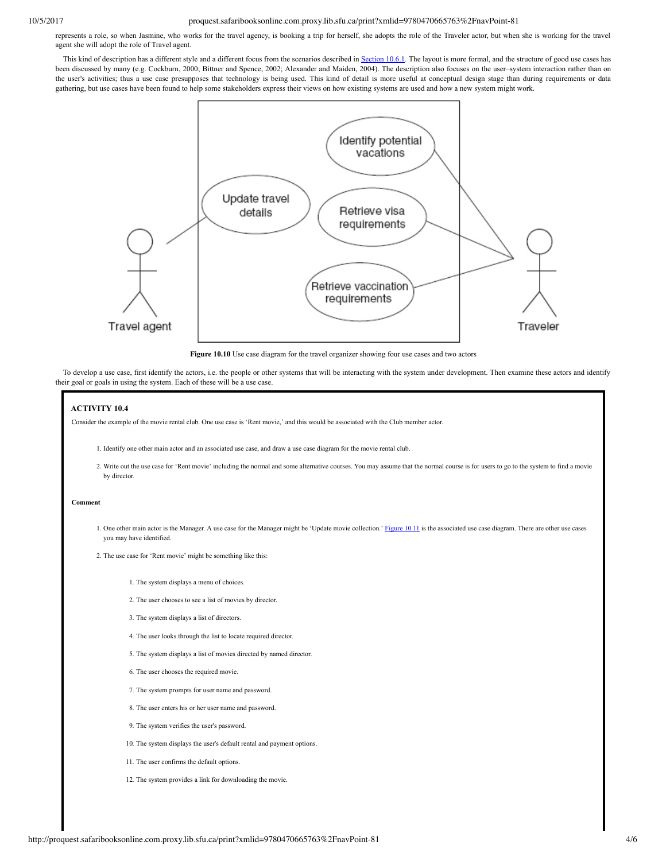represents a role, so when Jasmine, who works for the travel agency, is booking a trip for herself, she adopts the role of the Traveler actor, but when she is working for the travel agent she will adopt the role of Travel agent.

This kind of description has a different style and a different focus from the scenarios described in **[Section](http://proquest.safaribooksonline.com.proxy.lib.sfu.ca/9780470665763/navPoint-81#ch010-sec015) 10.6.1**. The layout is more formal, and the structure of good use cases has been discussed by many (e.g. Cockburn, 2000; Bittner and Spence, 2002; Alexander and Maiden, 2004). The description also focuses on the user-system interaction rather than on the user's activities; thus a use case presupposes that technology is being used. This kind of detail is more useful at conceptual design stage than during requirements or data gathering, but use cases have been found to help some stakeholders express their views on how existing systems are used and how a new system might work.



**Figure 10.10** Use case diagram for the travel organizer showing four use cases and two actors

To develop a use case, first identify the actors, i.e. the people or other systems that will be interacting with the system under development. Then examine these actors and identify their goal or goals in using the system. Each of these will be a use case.

# **ACTIVITY 10.4**

Consider the example of the movie rental club. One use case is 'Rent movie,' and this would be associated with the Club member actor.

- 1. Identify one other main actor and an associated use case, and draw a use case diagram for the movie rental club.
- 2. Write out the use case for 'Rent movie' including the normal and some alternative courses. You may assume that the normal course is for users to go to the system to find a movie by director

#### **Comment**

- 1. One other main actor is the Manager. A use case for the Manager might be 'Update movie collection.' [Figure](http://proquest.safaribooksonline.com.proxy.lib.sfu.ca/9780470665763/navPoint-81#ch010-f011) 10.11 is the associated use case diagram. There are other use cases you may have identified.
- 2. The use case for 'Rent movie' might be something like this:
	- 1. The system displays a menu of choices.
	- 2. The user chooses to see a list of movies by director.
	- 3. The system displays a list of directors.
	- 4. The user looks through the list to locate required director.
	- 5. The system displays a list of movies directed by named director.
	- 6. The user chooses the required movie.
	- 7. The system prompts for user name and password.
	- 8. The user enters his or her user name and password.
	- 9. The system verifies the user's password.
	- 10. The system displays the user's default rental and payment options.
	- 11. The user confirms the default options.
	- 12. The system provides a link for downloading the movie.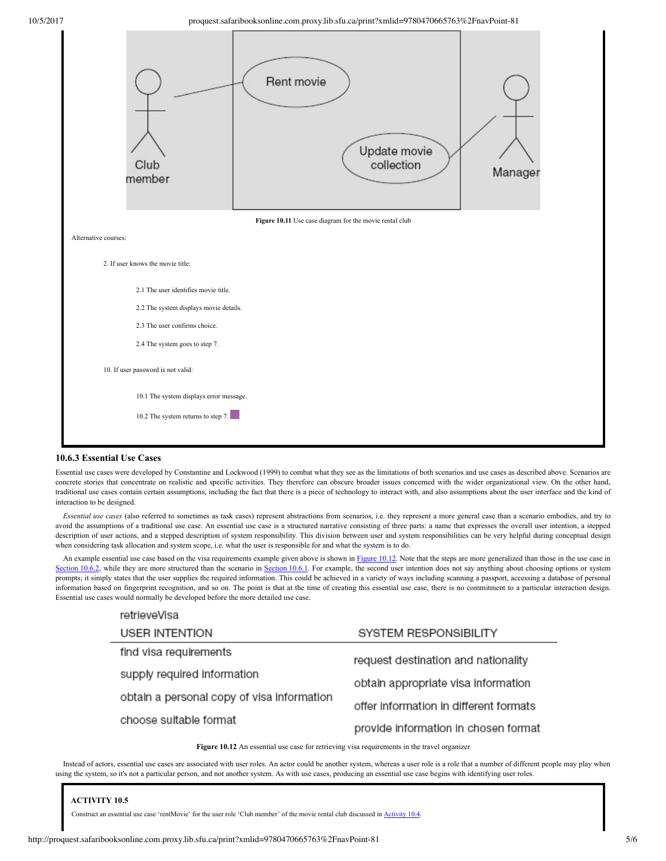

# **10.6.3 Essential Use Cases**

Essential use cases were developed by Constantine and Lockwood (1999) to combat what they see as the limitations of both scenarios and use cases as described above. Scenarios are concrete stories that concentrate on realistic and specific activities. They therefore can obscure broader issues concerned with the wider organizational view. On the other hand, traditional use cases contain certain assumptions, including the fact that there is a piece of technology to interact with, and also assumptions about the user interface and the kind of interaction to be designed.

*Essential use cases* (also referred to sometimes as task cases) represent abstractions from scenarios, i.e. they represent a more general case than a scenario embodies, and try to avoid the assumptions of a traditional use case. An essential use case is a structured narrative consisting of three parts: a name that expresses the overall user intention, a stepped description of user actions, and a stepped description of system responsibility. This division between user and system responsibilities can be very helpful during conceptual design when considering task allocation and system scope, i.e. what the user is responsible for and what the system is to do.

An example essential use case based on the visa requirements example given above is shown in [Figure](http://proquest.safaribooksonline.com.proxy.lib.sfu.ca/9780470665763/navPoint-81#ch010-f012) 10.12. Note that the steps are more generalized than those in the use case in [Section](http://proquest.safaribooksonline.com.proxy.lib.sfu.ca/9780470665763/navPoint-81#ch010-sec015) 10.6.2, while they are more structured than the scenario in Section 10.6.1. For example, the second user intention does not say anything about choosing options or system prompts; it simply states that the user supplies the required information. This could be achieved in a variety of ways including scanning a passport, accessing a database of personal information based on fingerprint recognition, and so on. The point is that at the time of creating this essential use case, there is no commitment to a particular interaction design. Essential use cases would normally be developed before the more detailed use case.

| retrieveVisa                               |                                        |  |  |  |  |  |  |  |
|--------------------------------------------|----------------------------------------|--|--|--|--|--|--|--|
| USER INTENTION                             | SYSTEM RESPONSIBILITY                  |  |  |  |  |  |  |  |
| find visa requirements                     | request destination and nationality    |  |  |  |  |  |  |  |
| supply required information                |                                        |  |  |  |  |  |  |  |
|                                            | obtain appropriate visa information    |  |  |  |  |  |  |  |
| obtain a personal copy of visa information | offer information in different formats |  |  |  |  |  |  |  |
| choose suitable format                     |                                        |  |  |  |  |  |  |  |
|                                            | provide information in chosen format   |  |  |  |  |  |  |  |

**Figure 10.12** An essential use case for retrieving visa requirements in the travel organizer

Instead of actors, essential use cases are associated with user roles. An actor could be another system, whereas a user role is a role that a number of different people may play when using the system, so it's not a particular person, and not another system. As with use cases, producing an essential use case begins with identifying user roles.

## **ACTIVITY 10.5**

Construct an essential use case 'rentMovie' for the user role 'Club member' of the movie rental club discussed in [Activity](http://proquest.safaribooksonline.com.proxy.lib.sfu.ca/9780470665763/navPoint-81#ch010-act004) 10.4.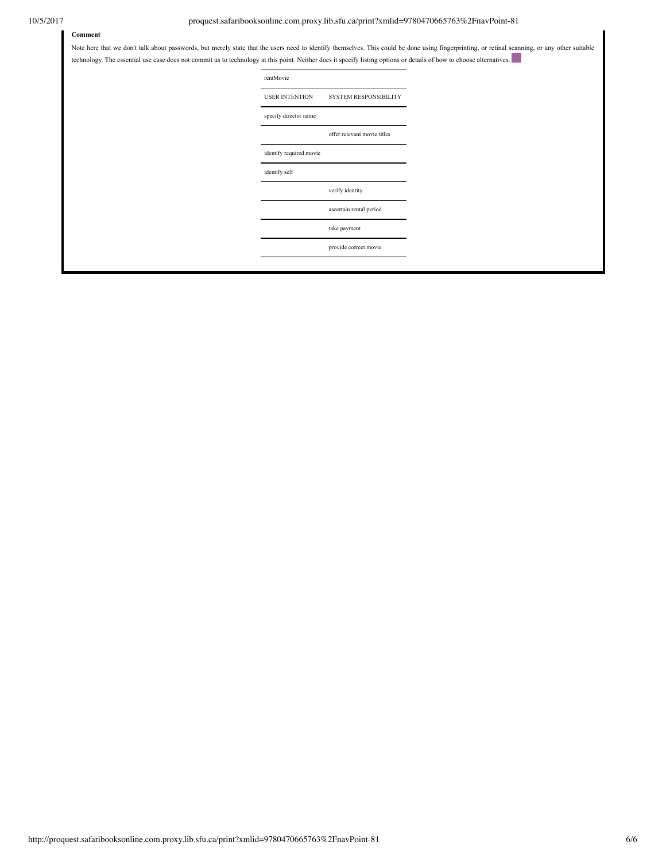# **Comment**

Note here that we don't talk about passwords, but merely state that the users need to identify themselves. This could be done using fingerprinting, or retinal scanning, or any other suitable technology. The essential use case does not commit us to technology at this point. Neither does it specify listing options or details of how to choose alternatives.

| rentMovie               |                              |
|-------------------------|------------------------------|
| <b>USER INTENTION</b>   | <b>SYSTEM RESPONSIBILITY</b> |
| specify director name   |                              |
|                         | offer relevant movie titles  |
| identify required movie |                              |
| identify self           |                              |
|                         | verify identity              |
|                         | ascertain rental period      |
|                         | take payment                 |
|                         | provide correct movie        |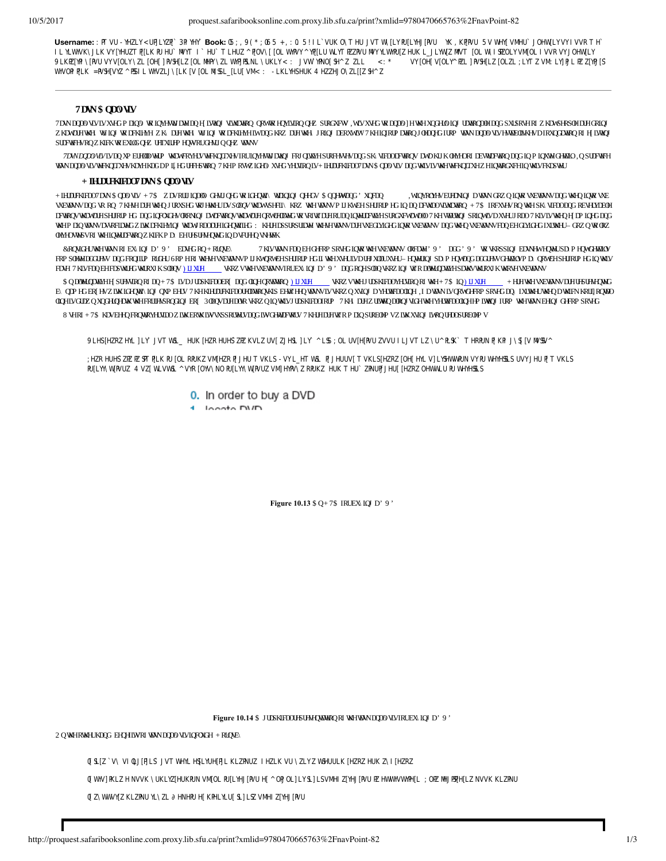|  | Username: mon raser Un ers ar Book: |  |  |  |  |  |  |  |                                               | :eon manom ernera on rono aro an a erorookma                                                        |  |  |  |  |  |  |
|--|-------------------------------------|--|--|--|--|--|--|--|-----------------------------------------------|-----------------------------------------------------------------------------------------------------|--|--|--|--|--|--|
|  |                                     |  |  |  |  |  |  |  |                                               | ere ro e or ransme nan orm an means o e ror ren erm sson or re rnsan e er s rom e sero e ookor a er |  |  |  |  |  |  |
|  |                                     |  |  |  |  |  |  |  |                                               | e sronoro er se a oaes e ar se reenerU o ras see U orao er se oaes ese emnso er e s sr              |  |  |  |  |  |  |
|  |                                     |  |  |  |  |  |  |  | ro e oaors erose eo e eenoU eeraan assa sesas |                                                                                                     |  |  |  |  |  |  |

# %"+HUg 5bU'malg

HUg\_UbUng]g]gi gYXa UJb`mhc`]bj YgH[UY`Ub`Yl]gHb[`g|h UHcbžbchhc`Ybj ]g]cb`bYk `dfcXi Vtg" ±h]gi gYX`hc`UbUnmY`h\Y`i bXYf`m]b[ 'fUHcbUY`UbX'di fdcgY`cZk \UrdYcd`Y`UYYXc]b[. K\UhUYH\Ymifmib[ bc UW]Yj Yžk\mUY'H\Ymifmib[ bc UW]Y Y |IzUX\ck UY'H\Ym[c]b[ 'Wci h]IBH\Y |bZcfa UHcb [ 'YLbYX'Zfca 'HLq 'UbUmqlq'YcHVJq\YqU'Zci bXUHcb'cZYI |cHb[ dfUVbJWgcbk \]W hc Vi ]`X`bYk `fYei ]fYa Ybhgcf`XYg][b`bYk `hUg\_d'

HJq UbUnqiqiqUbiaVfY`UMfa "hJuhWiYfqHWlb]eiYqZcf`|biYdfi[UHbfWtfblNjfYdfcWqdYqUbXd\nq]WJWhboqYUhU\][\``YjY`cZUVdfUMMcb'UbX`|b`a |biHYXYHJ`"=b`dfUMWZ Hug\_UbUnnglgHWNb]ei Yg\U Y\UXUa ]l YXfYWdh]cb"H\Ya cghk ]XYmi glXj Yfg]cb]g< ]YfuRN]W Hug\_5 bUnnglgžUxYhJg?Jgf\YHWkb]ei Yk Y`]bffcXi W`]bfh]gWUdhYf'

# %"+"%< JYfUfWJW HUg\_5bU'ng]g

- MUNNJW Hu Sbungigfk H5 Lk Ugcf[[]bU`mXYg[[bYX'lc ]XYbh]zmHUJb]b[ bYYXgf6bbYthUbX 8i bWbž%\*+L"-h]bj c`j YgVfYU\_]b[ Utug\_Xck b`]blc`g Vtug\_qUbX`h\Yb`]blc`g V! g Vilg g UbX g: cb" H\YgY UY hYb [fci dYX ht[YhYf Ugd Ubg hUngtYV]Øm\ck 'hY hUg ga ][\hVY dYfZcfa YX ]b Ub Uvli U 'g|h U]cb" <H5 'Z:WgYg cb 'hY d\ng]WI UbX cVgYfj UV Y DM]cbgiNUhUYdYfZcfa YXzUbX`]bWlXYg`cc\_]b[ 'UhUMJcbglNUhUY'bchfYUYX'hc'qcZfk UY'cf'Ub ]bHYEUMJj YdfcXi WiUhU'''H\YgYUf]b[ 'dc]bh]gUi gYf [cU''H\]g]glNYb YI Ua ]bYX'UX H\YaU|bitb\_gUgg:VJUYXk]h\UW]Yj]b[ihUn[cU`UY]XYbh]ZYX"K\YfYUddfcdf]UYZh\YgYitbgdUY'giVXjj]XYX]bhc`giVhbc`giVhb\_gYUbXih\Yb`giVNbVYXjj]XYX`ZIfh\YfËXckb`hc``ck Yj Y ghYdg cZh\Y ]bhYfUVbjcb k \]W a UmVY fYdfYgybhYX ]b UgVfWb g\_YhW"

7cbglXYftNYtUg\_cZVinjb[U8J8'fI/UgYX'cb'<cfbg/nž&\$%&E"H\]gYLg\_WDVYXWdadcgYX']bhc'hV'gVNLgG'cVUHY8J8/UXX8J8'hc'g\cdd]b['VUg\_YnYYbHYf'dUnaYbhXYHJ[g' Vda d`YN'UXKYgy'UbXVdbZjfa 'cfXYf"Gca Y`cZh\YgY'g VfUg\_g'a ][\hbchVY'dYfZcfa YX']Zh\Yi gYf]gUfY[i 'UFi gYfË'YbNf]b|'dUna YbhUbXUXXYYggXYNJ]'g'a UnibchVY'dYfZcfa YX']b'h]g VUgY"H\]gWbVYWdhifYX'hfci [\'d'Ubg'<u>: ][ifY'%\$"%'g</u>\ckgh\Y'gVhUg\_gZcfVin]b['U8J 8'UbX'cbY'd'Ub'g\ck]b['hkc'UHYfbUHjY'dUhgh\fci [\'h\cgY'g'VhUg\_g'

5b'UNfbUhjYYldfYgglcb'cZUb'<H5']gU[fUA\]WJ'Vcl!UbXI']bY'bclUrch": [[ifY'%\$"%{'g\ckgf\Y[fUA\]WJ'Yfglcb'cZh\Y<H5']b'; [[ifY'%\$"% "<YfYh\Y'g'VtLg-gUfYfYdfYgYbhYX VmbLa YXVcl Ygk ]h\`]XYbHJznjb[`bi a VYfg"H\Y`\]YfUfW]W fYUHcbg\]d'Whk YYb`HU\_g`]gg\ck b`i g]b[`Uj Yfh]W``}DY"=ZUHU\_]gbchXWlza dcgYX'UmZi fh\Yf`h\Yb`U'h]W\_'\cf]ncbHJ `JbY`]gXfUk bi bXYfbYUh`h\YWffYgdcbXJb[`Vcl "D`Ubg`UFY`U`gc`g\ck b`]b`h.]g[fUd\]W`Zcfa "H\YmUFYkf]lMb`U`cb[g]X'Yh\Yj`Yff]WD`]bY`Ya ]ltf]b[`Zfca `h\Y`hUq\_VY]b[`XYWaadcgYX"

I gYcZ<H5\UgWYbWblfcjYfg|Užk]h\Vch\]hggiddcfhYfgUbX]hgXYhUWcfg"H\YfYUY'hkca UJb'dfcVYa gk]h\i g|b[`]hcb'fYU'dfcVYa g

)&J]YdlYkck`Yj]n]jq'[gehd]p\$Yf\1Ykc`YfYdqkak`\g]k`fgl`k[Yd]n]jq`o]dakL`]fglYlagf`kggf`Z][ge]k`mfoa]d\q\$eYcaf\_`a'\a [mol'lg`'godbgo&

\*&LYkcYfYdqkakakakae al]\afl`]caf\k`g^lYkcal`[Yf`e g\]dk>gj`]pYe hdj\$al`[Yffgle g\]dlYkckT`YlYj]`gn]jdYhhaf\_gj`afhYjYddjd\$fgj`[Yf`al`e g\]d  $I$ [J]jjmhlagfk&Egkl h]ghd ogjcl`jgm\_`afl]jjmhlagfk g^nYjagnk caf\k\$Yf\eYfqka\_faÞ[Yfl1Ykck`Yhh]fafhYjYddak

**Figure 10.13 An HTA for buying a DVD** 

**External 10.14 A graphical representation of the task analysis for buying a DVD** 

**n** the other hand benefits of task analysis include Hornsby 2010

```
52 pi sysfnig mip gsqte i epire mihinkr Ofe ih sryi tperrihe oerhyfe o 2
```
62 tsmhi eksshyrhi erhmks limnieg msre luglii pijns efeg msrm ett stuai2 lm egnpuei ksshhinkr2

 $\sqrt{72}$  ytts himkriy i ekeme hmiir piipsef egmar2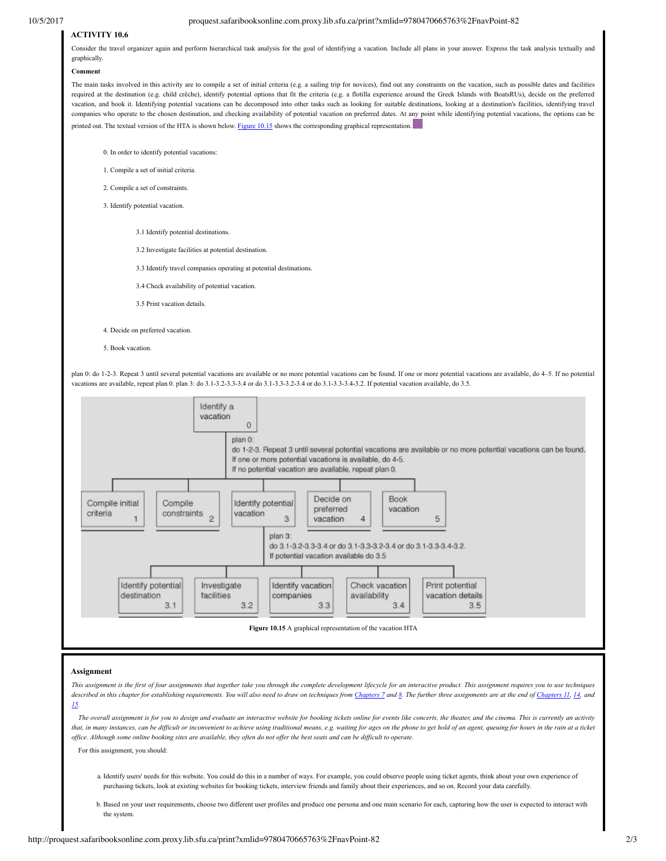# **ACTIVITY 10.6**

Consider the travel organizer again and perform hierarchical task analysis for the goal of identifying a vacation. Include all plans in your answer. Express the task analysis textually and graphically.

#### **Comment**

The main tasks involved in this activity are to compile a set of initial criteria (e.g. a sailing trip for novices), find out any constraints on the vacation, such as possible dates and facilities required at the destination (e.g. child crêche), identify potential options that fit the criteria (e.g. a flotilla experience around the Greek Islands with BoatsRUs), decide on the preferred vacation, and book it. Identifying potential vacations can be decomposed into other tasks such as looking for suitable destinations, looking at a destination's facilities, identifying travel companies who operate to the chosen destination, and checking availability of potential vacation on preferred dates. At any point while identifying potential vacations, the options can be printed out. The textual version of the HTA is shown below. [Figure](http://proquest.safaribooksonline.com.proxy.lib.sfu.ca/9780470665763/navPoint-82#ch010-f015) 10.15 shows the corresponding graphical representation.

0. In order to identify potential vacations:

- 1. Compile a set of initial criteria.
- 2. Compile a set of constraints.
- 3. Identify potential vacation.
	- 3.1 Identify potential destinations.
	- 3.2 Investigate facilities at potential destination.
	- 3.3 Identify travel companies operating at potential destinations.
	- 3.4 Check availability of potential vacation.
	- 3.5 Print vacation details.
- 4. Decide on preferred vacation.
- 5. Book vacation.

plan 0: do 1-2-3. Repeat 3 until several potential vacations are available or no more potential vacations can be found. If one or more potential vacations are available, do 4–5. If no potential vacations are available, repeat plan 0. plan 3: do 3.1-3.2-3.3-3.4 or do 3.1-3.3-3.4 or do 3.1-3.3-3.4-3.2. If potential vacation available, do 3.5.



#### **Assignment**

This assignment is the first of four assignments that together take you through the complete development lifecycle for an interactive product. This assignment requires you to use techniques described in this chapter for establishing requirements. You will also need to draw on techniques from [Chapters](http://proquest.safaribooksonline.com.proxy.lib.sfu.ca/9780470665763/chapter_11_design_prototyping#ch11) 7 and [8.](http://proquest.safaribooksonline.com.proxy.lib.sfu.ca/9780470665763/chapter_8_data_analysis_interp#ch8) The further three assignments are at the end of Chapters 11, [14](http://proquest.safaribooksonline.com.proxy.lib.sfu.ca/9780470665763/chapter_14_evaluation_studies#ch14), and *[15](http://proquest.safaribooksonline.com.proxy.lib.sfu.ca/9780470665763/chapter_15_evaluation_inspecti#ch15).*

The overall assignment is for you to design and evaluate an interactive website for booking tickets online for events like concerts, the theater, and the cinema. This is currently an activity that, in many instances, can be difficult or inconvenient to achieve using traditional means, e.g. waiting for ages on the phone to get hold of an agent, queuing for hours in the rain at a ticket office. Although some online booking sites are available, they often do not offer the best seats and can be difficult to operate.

For this assignment, you should:

- a. Identify users' needs for this website. You could do this in a number of ways. For example, you could observe people using ticket agents, think about your own experience of purchasing tickets, look at existing websites for booking tickets, interview friends and family about their experiences, and so on. Record your data carefully.
- b. Based on your user requirements, choose two different user profiles and produce one persona and one main scenario for each, capturing how the user is expected to interact with the system.